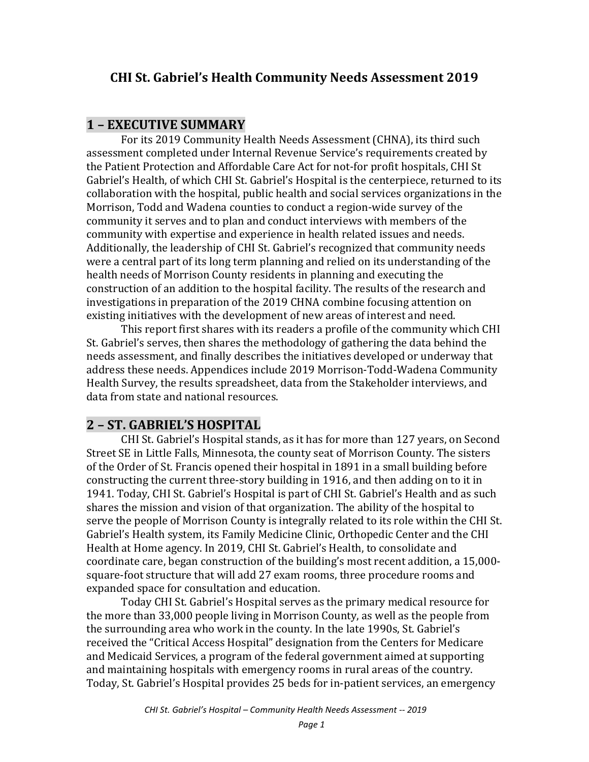# **CHI St. Gabriel's Health Community Needs Assessment 2019**

#### **1 – EXECUTIVE SUMMARY**

For its 2019 Community Health Needs Assessment (CHNA), its third such assessment completed under Internal Revenue Service's requirements created by the Patient Protection and Affordable Care Act for not-for profit hospitals, CHI St Gabriel's Health, of which CHI St. Gabriel's Hospital is the centerpiece, returned to its collaboration with the hospital, public health and social services organizations in the Morrison, Todd and Wadena counties to conduct a region-wide survey of the community it serves and to plan and conduct interviews with members of the community with expertise and experience in health related issues and needs. Additionally, the leadership of CHI St. Gabriel's recognized that community needs were a central part of its long term planning and relied on its understanding of the health needs of Morrison County residents in planning and executing the construction of an addition to the hospital facility. The results of the research and investigations in preparation of the 2019 CHNA combine focusing attention on existing initiatives with the development of new areas of interest and need.

This report first shares with its readers a profile of the community which CHI St. Gabriel's serves, then shares the methodology of gathering the data behind the needs assessment, and finally describes the initiatives developed or underway that address these needs. Appendices include 2019 Morrison-Todd-Wadena Community Health Survey, the results spreadsheet, data from the Stakeholder interviews, and data from state and national resources.

# **2 – ST. GABRIEL'S HOSPITAL**

CHI St. Gabriel's Hospital stands, as it has for more than 127 years, on Second Street SE in Little Falls, Minnesota, the county seat of Morrison County. The sisters of the Order of St. Francis opened their hospital in 1891 in a small building before constructing the current three-story building in 1916, and then adding on to it in 1941. Today, CHI St. Gabriel's Hospital is part of CHI St. Gabriel's Health and as such shares the mission and vision of that organization. The ability of the hospital to serve the people of Morrison County is integrally related to its role within the CHI St. Gabriel's Health system, its Family Medicine Clinic, Orthopedic Center and the CHI Health at Home agency. In 2019, CHI St. Gabriel's Health, to consolidate and coordinate care, began construction of the building's most recent addition, a 15,000 square-foot structure that will add 27 exam rooms, three procedure rooms and expanded space for consultation and education.

Today CHI St. Gabriel's Hospital serves as the primary medical resource for the more than 33,000 people living in Morrison County, as well as the people from the surrounding area who work in the county. In the late 1990s, St. Gabriel's received the "Critical Access Hospital" designation from the Centers for Medicare and Medicaid Services, a program of the federal government aimed at supporting and maintaining hospitals with emergency rooms in rural areas of the country. Today, St. Gabriel's Hospital provides 25 beds for in-patient services, an emergency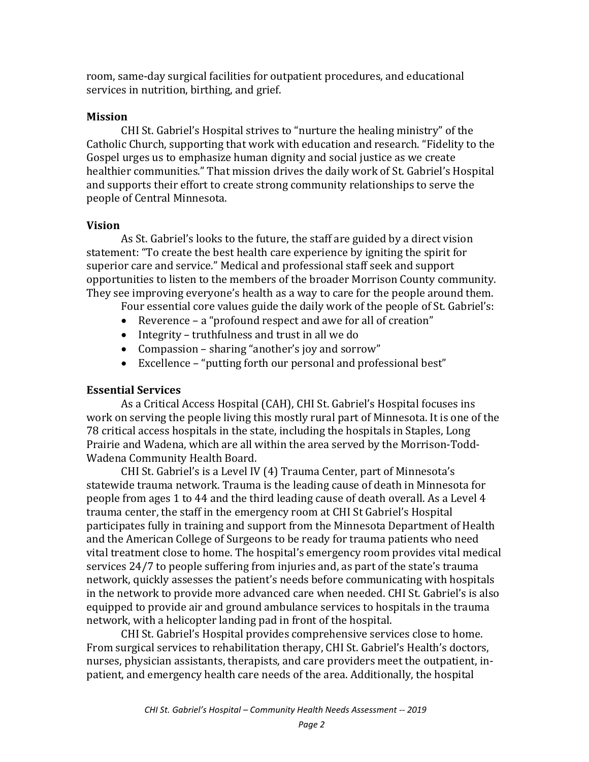room, same-day surgical facilities for outpatient procedures, and educational services in nutrition, birthing, and grief.

#### **Mission**

CHI St. Gabriel's Hospital strives to "nurture the healing ministry" of the Catholic Church, supporting that work with education and research. "Fidelity to the Gospel urges us to emphasize human dignity and social justice as we create healthier communities." That mission drives the daily work of St. Gabriel's Hospital and supports their effort to create strong community relationships to serve the people of Central Minnesota.

#### **Vision**

As St. Gabriel's looks to the future, the staff are guided by a direct vision statement: "To create the best health care experience by igniting the spirit for superior care and service." Medical and professional staff seek and support opportunities to listen to the members of the broader Morrison County community. They see improving everyone's health as a way to care for the people around them.

Four essential core values guide the daily work of the people of St. Gabriel's:

- Reverence a "profound respect and awe for all of creation"
- Integrity truthfulness and trust in all we do
- Compassion sharing "another's joy and sorrow"
- Excellence "putting forth our personal and professional best"

#### **Essential Services**

As a Critical Access Hospital (CAH), CHI St. Gabriel's Hospital focuses ins work on serving the people living this mostly rural part of Minnesota. It is one of the 78 critical access hospitals in the state, including the hospitals in Staples, Long Prairie and Wadena, which are all within the area served by the Morrison-Todd-Wadena Community Health Board.

CHI St. Gabriel's is a Level IV (4) Trauma Center, part of Minnesota's statewide trauma network. Trauma is the leading cause of death in Minnesota for people from ages 1 to 44 and the third leading cause of death overall. As a Level 4 trauma center, the staff in the emergency room at CHI St Gabriel's Hospital participates fully in training and support from the Minnesota Department of Health and the American College of Surgeons to be ready for trauma patients who need vital treatment close to home. The hospital's emergency room provides vital medical services 24/7 to people suffering from injuries and, as part of the state's trauma network, quickly assesses the patient's needs before communicating with hospitals in the network to provide more advanced care when needed. CHI St. Gabriel's is also equipped to provide air and ground ambulance services to hospitals in the trauma network, with a helicopter landing pad in front of the hospital.

CHI St. Gabriel's Hospital provides comprehensive services close to home. From surgical services to rehabilitation therapy, CHI St. Gabriel's Health's doctors, nurses, physician assistants, therapists, and care providers meet the outpatient, inpatient, and emergency health care needs of the area. Additionally, the hospital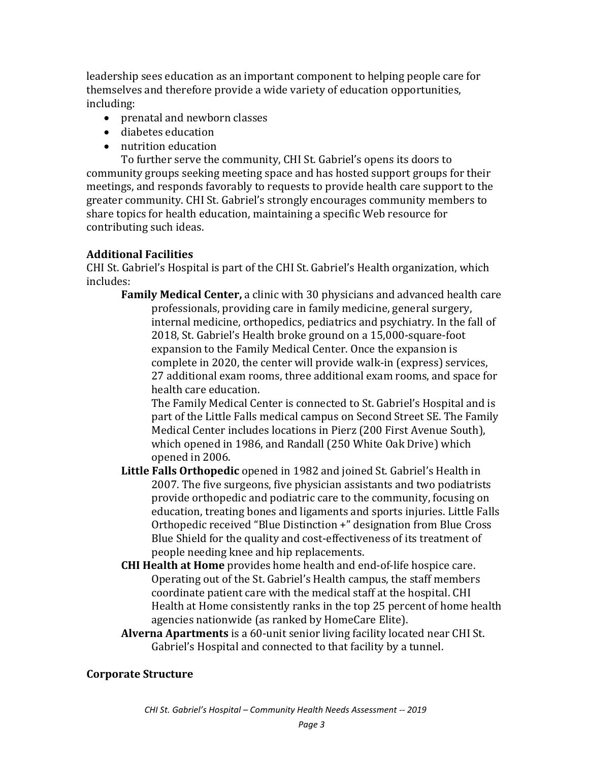leadership sees education as an important component to helping people care for themselves and therefore provide a wide variety of education opportunities, including:

- prenatal and newborn classes
- diabetes education
- nutrition education

To further serve the community, CHI St. Gabriel's opens its doors to community groups seeking meeting space and has hosted support groups for their meetings, and responds favorably to requests to provide health care support to the greater community. CHI St. Gabriel's strongly encourages community members to share topics for health education, maintaining a specific Web resource for contributing such ideas.

#### **Additional Facilities**

CHI St. Gabriel's Hospital is part of the CHI St. Gabriel's Health organization, which includes:

**Family Medical Center,** a clinic with 30 physicians and advanced health care professionals, providing care in family medicine, general surgery, internal medicine, orthopedics, pediatrics and psychiatry. In the fall of 2018, St. Gabriel's Health broke ground on a 15,000-square-foot expansion to the Family Medical Center. Once the expansion is complete in 2020, the center will provide walk-in (express) services, 27 additional exam rooms, three additional exam rooms, and space for health care education.

The Family Medical Center is connected to St. Gabriel's Hospital and is part of the Little Falls medical campus on Second Street SE. The Family Medical Center includes locations in Pierz (200 First Avenue South), which opened in 1986, and Randall (250 White Oak Drive) which opened in 2006.

- **Little Falls Orthopedic** opened in 1982 and joined St. Gabriel's Health in 2007. The five surgeons, five physician assistants and two podiatrists provide orthopedic and podiatric care to the community, focusing on education, treating bones and ligaments and sports injuries. Little Falls Orthopedic received "Blue Distinction +" designation from Blue Cross Blue Shield for the quality and cost-effectiveness of its treatment of people needing knee and hip replacements.
- **CHI Health at Home** provides home health and end-of-life hospice care. Operating out of the St. Gabriel's Health campus, the staff members coordinate patient care with the medical staff at the hospital. CHI Health at Home consistently ranks in the top 25 percent of home health agencies nationwide (as ranked by HomeCare Elite).
- **Alverna Apartments** is a 60-unit senior living facility located near CHI St. Gabriel's Hospital and connected to that facility by a tunnel.

#### **Corporate Structure**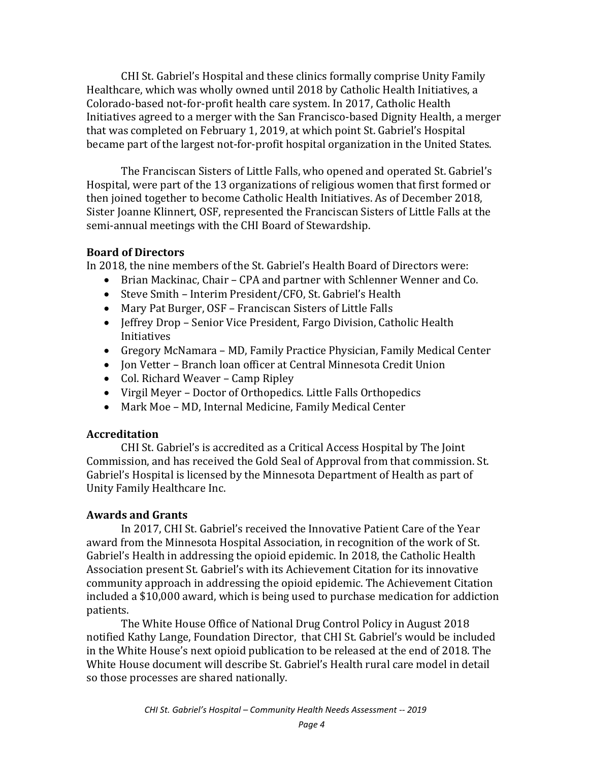CHI St. Gabriel's Hospital and these clinics formally comprise Unity Family Healthcare, which was wholly owned until 2018 by Catholic Health Initiatives, a Colorado-based not-for-profit health care system. In 2017, Catholic Health Initiatives agreed to a merger with the San Francisco-based Dignity Health, a merger that was completed on February 1, 2019, at which point St. Gabriel's Hospital became part of the largest not-for-profit hospital organization in the United States.

The Franciscan Sisters of Little Falls, who opened and operated St. Gabriel's Hospital, were part of the 13 organizations of religious women that first formed or then joined together to become Catholic Health Initiatives. As of December 2018, Sister Joanne Klinnert, OSF, represented the Franciscan Sisters of Little Falls at the semi-annual meetings with the CHI Board of Stewardship.

#### **Board of Directors**

In 2018, the nine members of the St. Gabriel's Health Board of Directors were:

- Brian Mackinac, Chair CPA and partner with Schlenner Wenner and Co.
- Steve Smith Interim President/CFO, St. Gabriel's Health
- Mary Pat Burger, OSF Franciscan Sisters of Little Falls
- Jeffrey Drop Senior Vice President, Fargo Division, Catholic Health Initiatives
- Gregory McNamara MD, Family Practice Physician, Family Medical Center
- Jon Vetter Branch loan officer at Central Minnesota Credit Union
- Col. Richard Weaver Camp Ripley
- Virgil Meyer Doctor of Orthopedics. Little Falls Orthopedics
- Mark Moe MD, Internal Medicine, Family Medical Center

### **Accreditation**

CHI St. Gabriel's is accredited as a Critical Access Hospital by The Joint Commission, and has received the Gold Seal of Approval from that commission. St. Gabriel's Hospital is licensed by the Minnesota Department of Health as part of Unity Family Healthcare Inc.

## **Awards and Grants**

In 2017, CHI St. Gabriel's received the Innovative Patient Care of the Year award from the Minnesota Hospital Association, in recognition of the work of St. Gabriel's Health in addressing the opioid epidemic. In 2018, the Catholic Health Association present St. Gabriel's with its Achievement Citation for its innovative community approach in addressing the opioid epidemic. The Achievement Citation included a \$10,000 award, which is being used to purchase medication for addiction patients.

The White House Office of National Drug Control Policy in August 2018 notified Kathy Lange, Foundation Director, that CHI St. Gabriel's would be included in the White House's next opioid publication to be released at the end of 2018. The White House document will describe St. Gabriel's Health rural care model in detail so those processes are shared nationally.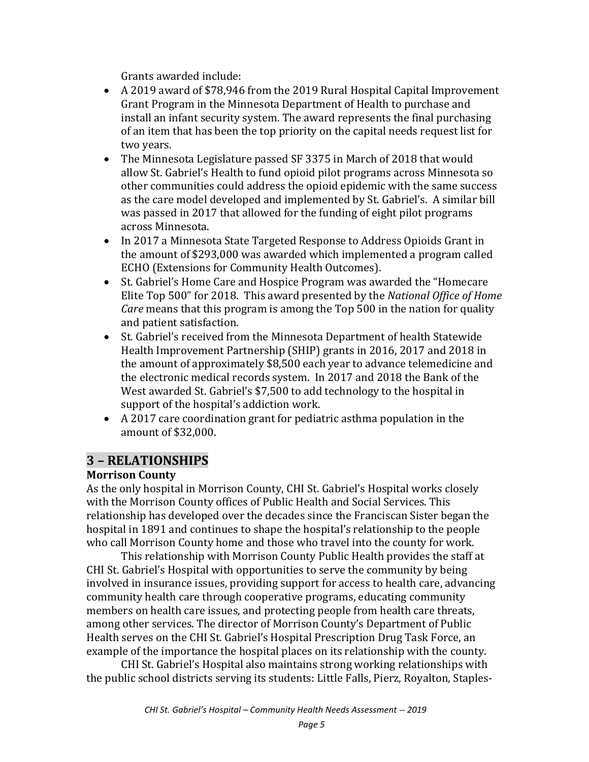Grants awarded include:

- A 2019 award of \$78,946 from the 2019 Rural Hospital Capital Improvement Grant Program in the Minnesota Department of Health to purchase and install an infant security system. The award represents the final purchasing of an item that has been the top priority on the capital needs request list for two years.
- The Minnesota Legislature passed SF 3375 in March of 2018 that would allow St. Gabriel's Health to fund opioid pilot programs across Minnesota so other communities could address the opioid epidemic with the same success as the care model developed and implemented by St. Gabriel's. A similar bill was passed in 2017 that allowed for the funding of eight pilot programs across Minnesota.
- In 2017 a Minnesota State Targeted Response to Address Opioids Grant in the amount of \$293,000 was awarded which implemented a program called ECHO (Extensions for Community Health Outcomes).
- St. Gabriel's Home Care and Hospice Program was awarded the "Homecare Elite Top 500" for 2018. This award presented by the *National Office of Home Care* means that this program is among the Top 500 in the nation for quality and patient satisfaction.
- St. Gabriel's received from the Minnesota Department of health Statewide Health Improvement Partnership (SHIP) grants in 2016, 2017 and 2018 in the amount of approximately \$8,500 each year to advance telemedicine and the electronic medical records system. In 2017 and 2018 the Bank of the West awarded St. Gabriel's \$7,500 to add technology to the hospital in support of the hospital's addiction work.
- A 2017 care coordination grant for pediatric asthma population in the amount of \$32,000.

# **3 – RELATIONSHIPS**

### **Morrison County**

As the only hospital in Morrison County, CHI St. Gabriel's Hospital works closely with the Morrison County offices of Public Health and Social Services. This relationship has developed over the decades since the Franciscan Sister began the hospital in 1891 and continues to shape the hospital's relationship to the people who call Morrison County home and those who travel into the county for work.

This relationship with Morrison County Public Health provides the staff at CHI St. Gabriel's Hospital with opportunities to serve the community by being involved in insurance issues, providing support for access to health care, advancing community health care through cooperative programs, educating community members on health care issues, and protecting people from health care threats, among other services. The director of Morrison County's Department of Public Health serves on the CHI St. Gabriel's Hospital Prescription Drug Task Force, an example of the importance the hospital places on its relationship with the county.

CHI St. Gabriel's Hospital also maintains strong working relationships with the public school districts serving its students: Little Falls, Pierz, Royalton, Staples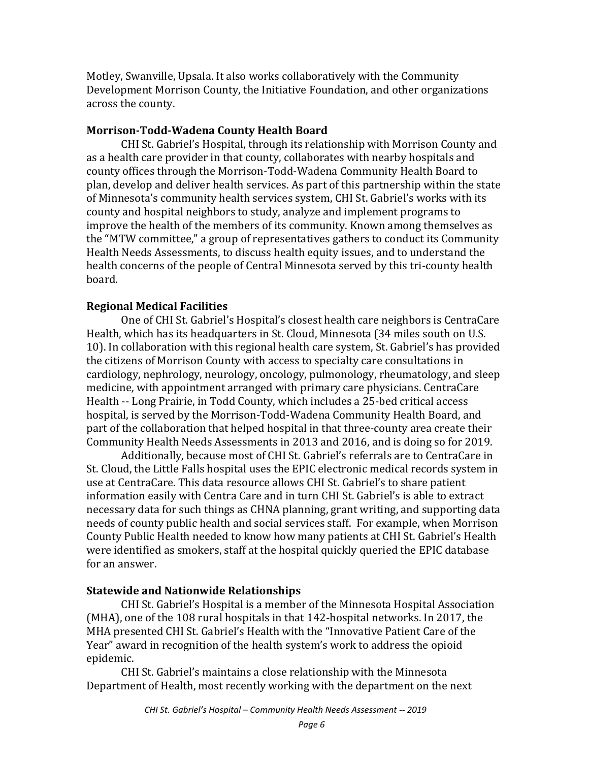Motley, Swanville, Upsala. It also works collaboratively with the Community Development Morrison County, the Initiative Foundation, and other organizations across the county.

#### **Morrison-Todd-Wadena County Health Board**

CHI St. Gabriel's Hospital, through its relationship with Morrison County and as a health care provider in that county, collaborates with nearby hospitals and county offices through the Morrison-Todd-Wadena Community Health Board to plan, develop and deliver health services. As part of this partnership within the state of Minnesota's community health services system, CHI St. Gabriel's works with its county and hospital neighbors to study, analyze and implement programs to improve the health of the members of its community. Known among themselves as the "MTW committee," a group of representatives gathers to conduct its Community Health Needs Assessments, to discuss health equity issues, and to understand the health concerns of the people of Central Minnesota served by this tri-county health board.

### **Regional Medical Facilities**

One of CHI St. Gabriel's Hospital's closest health care neighbors is CentraCare Health, which has its headquarters in St. Cloud, Minnesota (34 miles south on U.S. 10). In collaboration with this regional health care system, St. Gabriel's has provided the citizens of Morrison County with access to specialty care consultations in cardiology, nephrology, neurology, oncology, pulmonology, rheumatology, and sleep medicine, with appointment arranged with primary care physicians. CentraCare Health -- Long Prairie, in Todd County, which includes a 25-bed critical access hospital, is served by the Morrison-Todd-Wadena Community Health Board, and part of the collaboration that helped hospital in that three-county area create their Community Health Needs Assessments in 2013 and 2016, and is doing so for 2019.

Additionally, because most of CHI St. Gabriel's referrals are to CentraCare in St. Cloud, the Little Falls hospital uses the EPIC electronic medical records system in use at CentraCare. This data resource allows CHI St. Gabriel's to share patient information easily with Centra Care and in turn CHI St. Gabriel's is able to extract necessary data for such things as CHNA planning, grant writing, and supporting data needs of county public health and social services staff. For example, when Morrison County Public Health needed to know how many patients at CHI St. Gabriel's Health were identified as smokers, staff at the hospital quickly queried the EPIC database for an answer.

### **Statewide and Nationwide Relationships**

CHI St. Gabriel's Hospital is a member of the Minnesota Hospital Association (MHA), one of the 108 rural hospitals in that 142-hospital networks. In 2017, the MHA presented CHI St. Gabriel's Health with the "Innovative Patient Care of the Year" award in recognition of the health system's work to address the opioid epidemic.

CHI St. Gabriel's maintains a close relationship with the Minnesota Department of Health, most recently working with the department on the next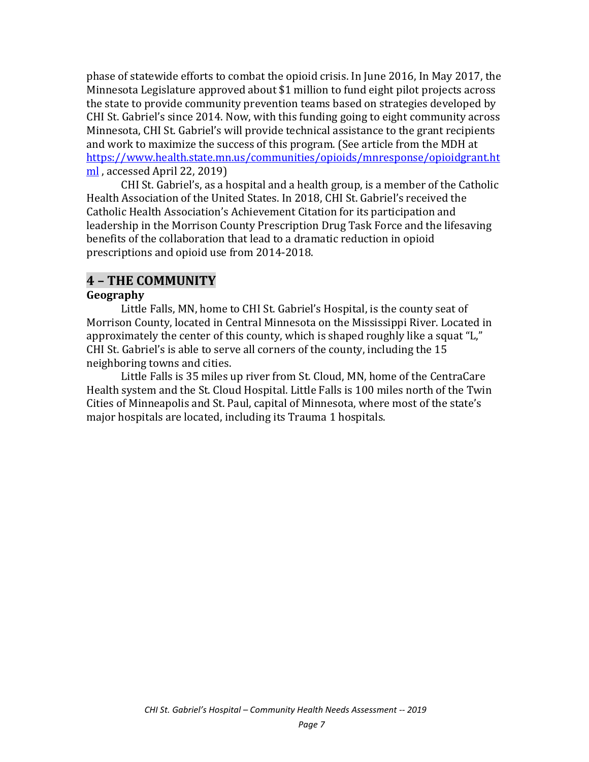phase of statewide efforts to combat the opioid crisis. In June 2016, In May 2017, the Minnesota Legislature approved about \$1 million to fund eight pilot projects across the state to provide community prevention teams based on strategies developed by CHI St. Gabriel's since 2014. Now, with this funding going to eight community across Minnesota, CHI St. Gabriel's will provide technical assistance to the grant recipients and work to maximize the success of this program. (See article from the MDH at [https://www.health.state.mn.us/communities/opioids/mnresponse/opioidgrant.ht](https://www.health.state.mn.us/communities/opioids/mnresponse/opioidgrant.html) [ml](https://www.health.state.mn.us/communities/opioids/mnresponse/opioidgrant.html) , accessed April 22, 2019)

CHI St. Gabriel's, as a hospital and a health group, is a member of the Catholic Health Association of the United States. In 2018, CHI St. Gabriel's received the Catholic Health Association's Achievement Citation for its participation and leadership in the Morrison County Prescription Drug Task Force and the lifesaving benefits of the collaboration that lead to a dramatic reduction in opioid prescriptions and opioid use from 2014-2018.

### **4 – THE COMMUNITY**

#### **Geography**

Little Falls, MN, home to CHI St. Gabriel's Hospital, is the county seat of Morrison County, located in Central Minnesota on the Mississippi River. Located in approximately the center of this county, which is shaped roughly like a squat "L," CHI St. Gabriel's is able to serve all corners of the county, including the 15 neighboring towns and cities.

Little Falls is 35 miles up river from St. Cloud, MN, home of the CentraCare Health system and the St. Cloud Hospital. Little Falls is 100 miles north of the Twin Cities of Minneapolis and St. Paul, capital of Minnesota, where most of the state's major hospitals are located, including its Trauma 1 hospitals.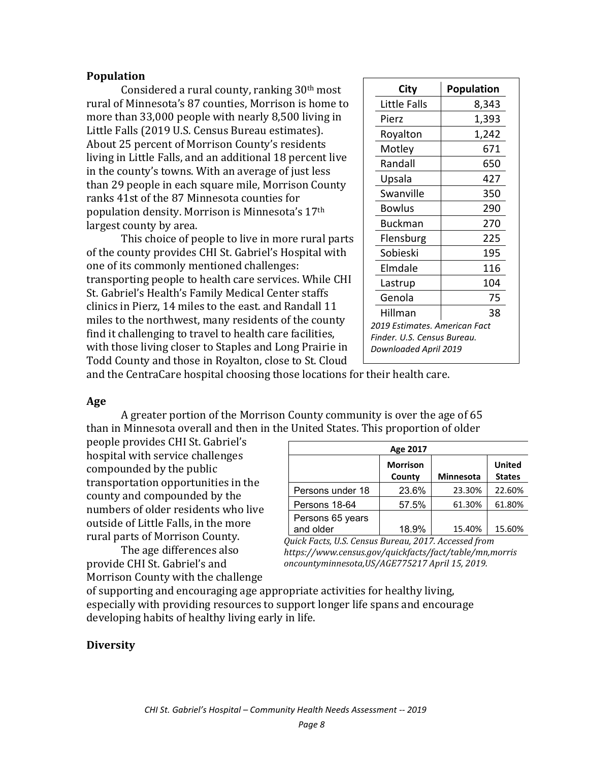#### **Population**

Considered a rural county, ranking 30th most rural of Minnesota's 87 counties, Morrison is home to more than 33,000 people with nearly 8,500 living in Little Falls (2019 U.S. Census Bureau estimates). About 25 percent of Morrison County's residents living in Little Falls, and an additional 18 percent live in the county's towns. With an average of just less than 29 people in each square mile, Morrison County ranks 41st of the 87 Minnesota counties for population density. Morrison is Minnesota's 17th largest county by area.

This choice of people to live in more rural parts of the county provides CHI St. Gabriel's Hospital with one of its commonly mentioned challenges: transporting people to health care services. While CHI St. Gabriel's Health's Family Medical Center staffs clinics in Pierz, 14 miles to the east. and Randall 11 miles to the northwest, many residents of the county find it challenging to travel to health care facilities, with those living closer to Staples and Long Prairie in Todd County and those in Royalton, close to St. Cloud

| City                          | Population |  |  |  |
|-------------------------------|------------|--|--|--|
| Little Falls                  | 8,343      |  |  |  |
| Pierz                         | 1,393      |  |  |  |
| Royalton                      | 1,242      |  |  |  |
| Motley                        | 671        |  |  |  |
| Randall                       | 650        |  |  |  |
| Upsala                        | 427        |  |  |  |
| Swanville                     | 350        |  |  |  |
| <b>Bowlus</b>                 | 290        |  |  |  |
| Buckman                       | 270        |  |  |  |
| Flensburg                     | 225        |  |  |  |
| Sobieski                      | 195        |  |  |  |
| Elmdale                       | 116        |  |  |  |
| Lastrup                       | 104        |  |  |  |
| Genola                        | 75         |  |  |  |
| Hillman<br>38                 |            |  |  |  |
| 2019 Estimates. American Fact |            |  |  |  |
| Finder. U.S. Census Bureau.   |            |  |  |  |
| Downloaded April 2019         |            |  |  |  |

and the CentraCare hospital choosing those locations for their health care.

#### **Age**

A greater portion of the Morrison County community is over the age of 65 than in Minnesota overall and then in the United States. This proportion of older

people provides CHI St. Gabriel's hospital with service challenges compounded by the public transportation opportunities in the county and compounded by the numbers of older residents who live outside of Little Falls, in the more rural parts of Morrison County.

|                               | Age 2017                  |                  |                                |
|-------------------------------|---------------------------|------------------|--------------------------------|
|                               | <b>Morrison</b><br>County | <b>Minnesota</b> | <b>United</b><br><b>States</b> |
| Persons under 18              | 23.6%                     | 23.30%           | 22.60%                         |
| Persons 18-64                 | 57.5%                     | 61.30%           | 61.80%                         |
| Persons 65 years<br>and older | 18.9%                     | 15.40%           | 15.60%                         |

The age differences also provide CHI St. Gabriel's and Morrison County with the challenge

*Quick Facts, U.S. Census Bureau, 2017. Accessed from https://www.census.gov/quickfacts/fact/table/mn,morris oncountyminnesota,US/AGE775217 April 15, 2019.*

of supporting and encouraging age appropriate activities for healthy living, especially with providing resources to support longer life spans and encourage developing habits of healthy living early in life.

#### **Diversity**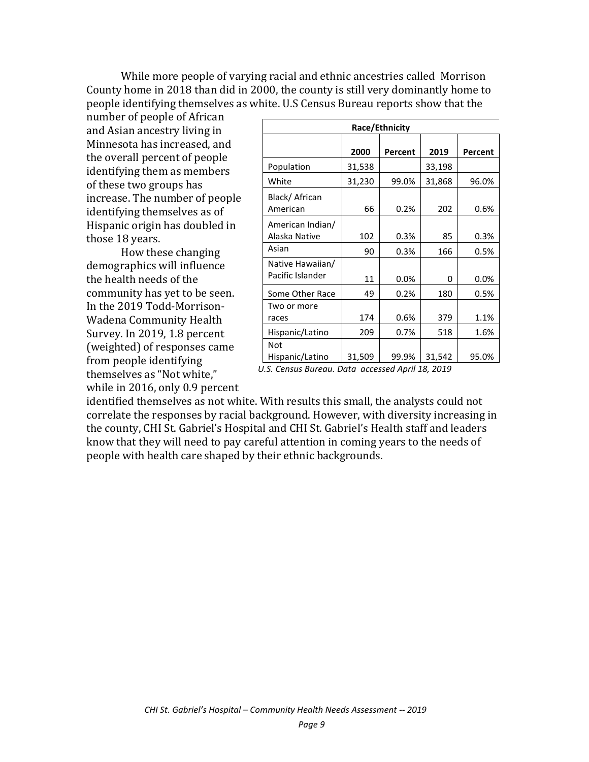While more people of varying racial and ethnic ancestries called Morrison County home in 2018 than did in 2000, the county is still very dominantly home to people identifying themselves as white. U.S Census Bureau reports show that the

number of people of African and Asian ancestry living in Minnesota has increased, and the overall percent of people identifying them as members of these two groups has increase. The number of people identifying themselves as of Hispanic origin has doubled in those 18 years.

How these changing demographics will influence the health needs of the community has yet to be seen. In the 2019 Todd-Morrison-Wadena Community Health Survey. In 2019, 1.8 percent (weighted) of responses came from people identifying themselves as "Not white," while in 2016, only 0.9 percent

| Race/Ethnicity                       |        |         |        |         |  |  |  |
|--------------------------------------|--------|---------|--------|---------|--|--|--|
|                                      | 2000   | Percent | 2019   | Percent |  |  |  |
| Population                           | 31,538 |         | 33,198 |         |  |  |  |
| White                                | 31,230 | 99.0%   | 31,868 | 96.0%   |  |  |  |
| Black/African<br>American            | 66     | 0.2%    | 202    | 0.6%    |  |  |  |
| American Indian/<br>Alaska Native    | 102    | 0.3%    | 85     | 0.3%    |  |  |  |
| Asian                                | 90     | 0.3%    | 166    | 0.5%    |  |  |  |
| Native Hawaiian/<br>Pacific Islander | 11     | 0.0%    | 0      | 0.0%    |  |  |  |
| Some Other Race                      | 49     | 0.2%    | 180    | 0.5%    |  |  |  |
| Two or more<br>races                 | 174    | 0.6%    | 379    | 1.1%    |  |  |  |
| Hispanic/Latino                      | 209    | 0.7%    | 518    | 1.6%    |  |  |  |
| Not<br>Hispanic/Latino               | 31,509 | 99.9%   | 31,542 | 95.0%   |  |  |  |

*U.S. Census Bureau. Data accessed April 18, 2019*

identified themselves as not white. With results this small, the analysts could not correlate the responses by racial background. However, with diversity increasing in the county, CHI St. Gabriel's Hospital and CHI St. Gabriel's Health staff and leaders know that they will need to pay careful attention in coming years to the needs of people with health care shaped by their ethnic backgrounds.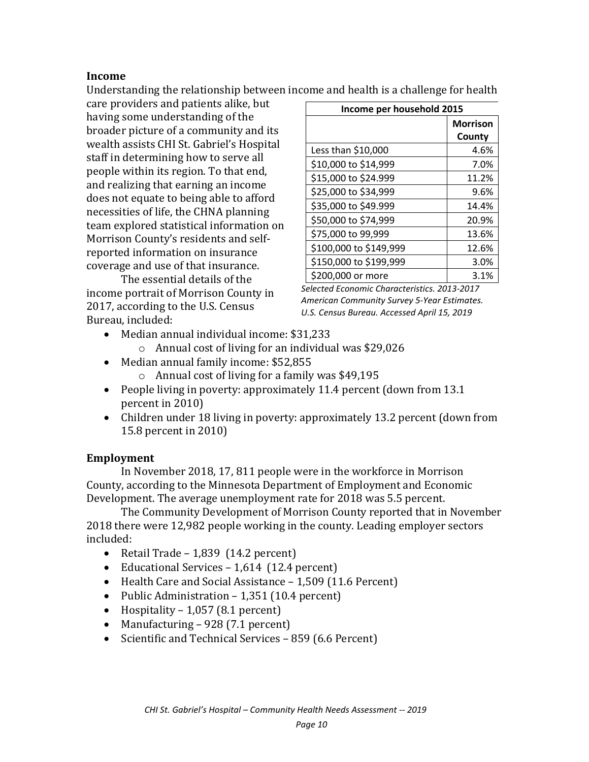#### **Income**

Understanding the relationship between income and health is a challenge for health

care providers and patients alike, but having some understanding of the broader picture of a community and its wealth assists CHI St. Gabriel's Hospital staff in determining how to serve all people within its region. To that end, and realizing that earning an income does not equate to being able to afford necessities of life, the CHNA planning team explored statistical information on Morrison County's residents and selfreported information on insurance coverage and use of that insurance.

The essential details of the income portrait of Morrison County in 2017, according to the U.S. Census Bureau, included:

| Income per household 2015 |                 |  |  |  |
|---------------------------|-----------------|--|--|--|
|                           | <b>Morrison</b> |  |  |  |
|                           | County          |  |  |  |
| Less than \$10,000        | 4.6%            |  |  |  |
| \$10,000 to \$14,999      | 7.0%            |  |  |  |
| \$15,000 to \$24.999      | 11.2%           |  |  |  |
| \$25,000 to \$34,999      | 9.6%            |  |  |  |
| \$35,000 to \$49.999      | 14.4%           |  |  |  |
| \$50,000 to \$74,999      | 20.9%           |  |  |  |
| \$75,000 to 99,999        | 13.6%           |  |  |  |
| \$100,000 to \$149,999    | 12.6%           |  |  |  |
| \$150,000 to \$199,999    | 3.0%            |  |  |  |
| \$200,000 or more         | 3.1%            |  |  |  |

*Selected Economic Characteristics. 2013-2017 American Community Survey 5-Year Estimates. U.S. Census Bureau. Accessed April 15, 2019*

- Median annual individual income: \$31,233
	- o Annual cost of living for an individual was \$29,026
- Median annual family income: \$52,855
	- o Annual cost of living for a family was \$49,195
- People living in poverty: approximately 11.4 percent (down from 13.1 percent in 2010)
- Children under 18 living in poverty: approximately 13.2 percent (down from 15.8 percent in 2010)

#### **Employment**

In November 2018, 17, 811 people were in the workforce in Morrison County, according to the Minnesota Department of Employment and Economic Development. The average unemployment rate for 2018 was 5.5 percent.

The Community Development of Morrison County reported that in November 2018 there were 12,982 people working in the county. Leading employer sectors included:

- Retail Trade 1,839 (14.2 percent)
- Educational Services 1,614 (12.4 percent)
- Health Care and Social Assistance 1,509 (11.6 Percent)
- Public Administration 1,351 (10.4 percent)
- Hospitality  $1,057$  (8.1 percent)
- Manufacturing 928 (7.1 percent)
- Scientific and Technical Services 859 (6.6 Percent)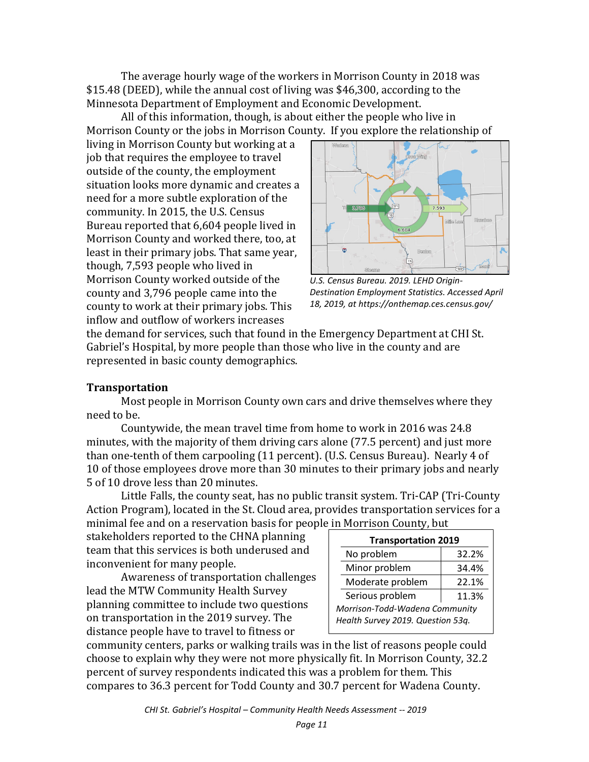The average hourly wage of the workers in Morrison County in 2018 was \$15.48 (DEED), while the annual cost of living was \$46,300, according to the Minnesota Department of Employment and Economic Development.

All of this information, though, is about either the people who live in Morrison County or the jobs in Morrison County. If you explore the relationship of

living in Morrison County but working at a job that requires the employee to travel outside of the county, the employment situation looks more dynamic and creates a need for a more subtle exploration of the community. In 2015, the U.S. Census Bureau reported that 6,604 people lived in Morrison County and worked there, too, at least in their primary jobs. That same year, though, 7,593 people who lived in Morrison County worked outside of the county and 3,796 people came into the county to work at their primary jobs. This inflow and outflow of workers increases



*U.S. Census Bureau. 2019. LEHD Origin-Destination Employment Statistics. Accessed April 18, 2019, at https://onthemap.ces.census.gov/*

the demand for services, such that found in the Emergency Department at CHI St. Gabriel's Hospital, by more people than those who live in the county and are represented in basic county demographics.

#### **Transportation**

Most people in Morrison County own cars and drive themselves where they need to be.

Countywide, the mean travel time from home to work in 2016 was 24.8 minutes, with the majority of them driving cars alone (77.5 percent) and just more than one-tenth of them carpooling (11 percent). (U.S. Census Bureau). Nearly 4 of 10 of those employees drove more than 30 minutes to their primary jobs and nearly 5 of 10 drove less than 20 minutes.

Little Falls, the county seat, has no public transit system. Tri-CAP (Tri-County Action Program), located in the St. Cloud area, provides transportation services for a minimal fee and on a reservation basis for people in Morrison County, but

stakeholders reported to the CHNA planning team that this services is both underused and inconvenient for many people.

Awareness of transportation challenges lead the MTW Community Health Survey planning committee to include two questions on transportation in the 2019 survey. The distance people have to travel to fitness or

| <b>Transportation 2019</b>        |  |  |  |  |  |
|-----------------------------------|--|--|--|--|--|
| 32.2%                             |  |  |  |  |  |
| 34.4%                             |  |  |  |  |  |
| 22.1%                             |  |  |  |  |  |
| 11.3%                             |  |  |  |  |  |
| Morrison-Todd-Wadena Community    |  |  |  |  |  |
| Health Survey 2019. Question 53g. |  |  |  |  |  |
|                                   |  |  |  |  |  |

community centers, parks or walking trails was in the list of reasons people could choose to explain why they were not more physically fit. In Morrison County, 32.2 percent of survey respondents indicated this was a problem for them. This compares to 36.3 percent for Todd County and 30.7 percent for Wadena County.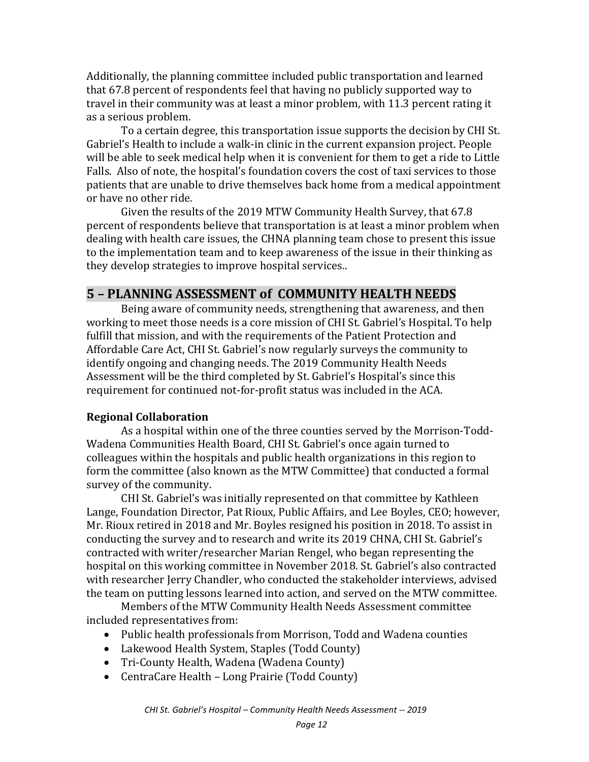Additionally, the planning committee included public transportation and learned that 67.8 percent of respondents feel that having no publicly supported way to travel in their community was at least a minor problem, with 11.3 percent rating it as a serious problem.

To a certain degree, this transportation issue supports the decision by CHI St. Gabriel's Health to include a walk-in clinic in the current expansion project. People will be able to seek medical help when it is convenient for them to get a ride to Little Falls. Also of note, the hospital's foundation covers the cost of taxi services to those patients that are unable to drive themselves back home from a medical appointment or have no other ride.

Given the results of the 2019 MTW Community Health Survey, that 67.8 percent of respondents believe that transportation is at least a minor problem when dealing with health care issues, the CHNA planning team chose to present this issue to the implementation team and to keep awareness of the issue in their thinking as they develop strategies to improve hospital services..

# **5 – PLANNING ASSESSMENT of COMMUNITY HEALTH NEEDS**

Being aware of community needs, strengthening that awareness, and then working to meet those needs is a core mission of CHI St. Gabriel's Hospital. To help fulfill that mission, and with the requirements of the Patient Protection and Affordable Care Act, CHI St. Gabriel's now regularly surveys the community to identify ongoing and changing needs. The 2019 Community Health Needs Assessment will be the third completed by St. Gabriel's Hospital's since this requirement for continued not-for-profit status was included in the ACA.

### **Regional Collaboration**

As a hospital within one of the three counties served by the Morrison-Todd-Wadena Communities Health Board, CHI St. Gabriel's once again turned to colleagues within the hospitals and public health organizations in this region to form the committee (also known as the MTW Committee) that conducted a formal survey of the community.

CHI St. Gabriel's was initially represented on that committee by Kathleen Lange, Foundation Director, Pat Rioux, Public Affairs, and Lee Boyles, CEO; however, Mr. Rioux retired in 2018 and Mr. Boyles resigned his position in 2018. To assist in conducting the survey and to research and write its 2019 CHNA, CHI St. Gabriel's contracted with writer/researcher Marian Rengel, who began representing the hospital on this working committee in November 2018. St. Gabriel's also contracted with researcher Jerry Chandler, who conducted the stakeholder interviews, advised the team on putting lessons learned into action, and served on the MTW committee.

Members of the MTW Community Health Needs Assessment committee included representatives from:

- Public health professionals from Morrison, Todd and Wadena counties
- Lakewood Health System, Staples (Todd County)
- Tri-County Health, Wadena (Wadena County)
- CentraCare Health Long Prairie (Todd County)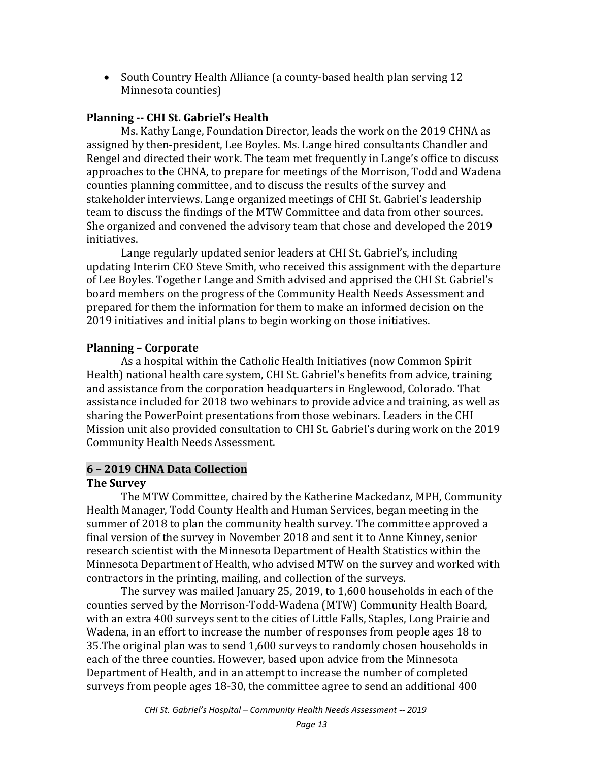• South Country Health Alliance (a county-based health plan serving 12 Minnesota counties)

### **Planning -- CHI St. Gabriel's Health**

Ms. Kathy Lange, Foundation Director, leads the work on the 2019 CHNA as assigned by then-president, Lee Boyles. Ms. Lange hired consultants Chandler and Rengel and directed their work. The team met frequently in Lange's office to discuss approaches to the CHNA, to prepare for meetings of the Morrison, Todd and Wadena counties planning committee, and to discuss the results of the survey and stakeholder interviews. Lange organized meetings of CHI St. Gabriel's leadership team to discuss the findings of the MTW Committee and data from other sources. She organized and convened the advisory team that chose and developed the 2019 initiatives.

Lange regularly updated senior leaders at CHI St. Gabriel's, including updating Interim CEO Steve Smith, who received this assignment with the departure of Lee Boyles. Together Lange and Smith advised and apprised the CHI St. Gabriel's board members on the progress of the Community Health Needs Assessment and prepared for them the information for them to make an informed decision on the 2019 initiatives and initial plans to begin working on those initiatives.

#### **Planning – Corporate**

As a hospital within the Catholic Health Initiatives (now Common Spirit Health) national health care system, CHI St. Gabriel's benefits from advice, training and assistance from the corporation headquarters in Englewood, Colorado. That assistance included for 2018 two webinars to provide advice and training, as well as sharing the PowerPoint presentations from those webinars. Leaders in the CHI Mission unit also provided consultation to CHI St. Gabriel's during work on the 2019 Community Health Needs Assessment.

#### **6 – 2019 CHNA Data Collection**

#### **The Survey**

The MTW Committee, chaired by the Katherine Mackedanz, MPH, Community Health Manager, Todd County Health and Human Services, began meeting in the summer of 2018 to plan the community health survey. The committee approved a final version of the survey in November 2018 and sent it to Anne Kinney, senior research scientist with the Minnesota Department of Health Statistics within the Minnesota Department of Health, who advised MTW on the survey and worked with contractors in the printing, mailing, and collection of the surveys.

The survey was mailed January 25, 2019, to 1,600 households in each of the counties served by the Morrison-Todd-Wadena (MTW) Community Health Board, with an extra 400 surveys sent to the cities of Little Falls, Staples, Long Prairie and Wadena, in an effort to increase the number of responses from people ages 18 to 35.The original plan was to send 1,600 surveys to randomly chosen households in each of the three counties. However, based upon advice from the Minnesota Department of Health, and in an attempt to increase the number of completed surveys from people ages 18-30, the committee agree to send an additional 400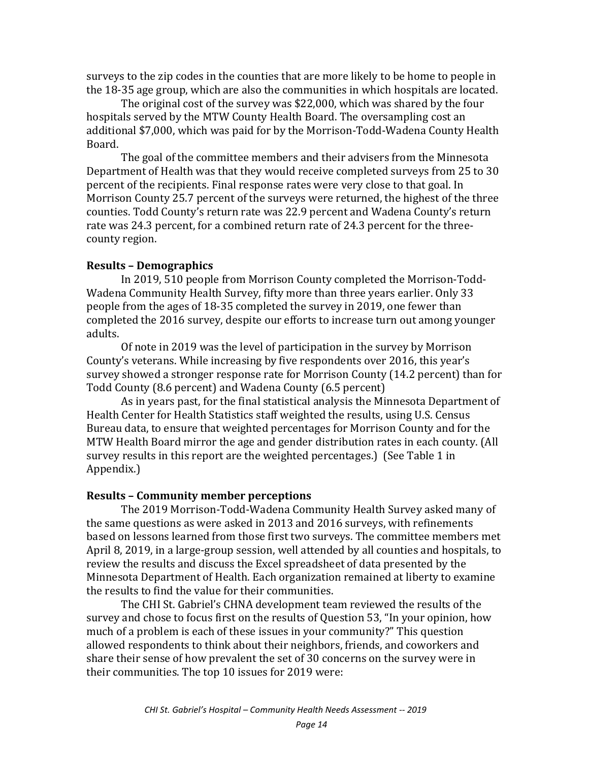surveys to the zip codes in the counties that are more likely to be home to people in the 18-35 age group, which are also the communities in which hospitals are located.

The original cost of the survey was \$22,000, which was shared by the four hospitals served by the MTW County Health Board. The oversampling cost an additional \$7,000, which was paid for by the Morrison-Todd-Wadena County Health Board.

The goal of the committee members and their advisers from the Minnesota Department of Health was that they would receive completed surveys from 25 to 30 percent of the recipients. Final response rates were very close to that goal. In Morrison County 25.7 percent of the surveys were returned, the highest of the three counties. Todd County's return rate was 22.9 percent and Wadena County's return rate was 24.3 percent, for a combined return rate of 24.3 percent for the threecounty region.

#### **Results – Demographics**

In 2019, 510 people from Morrison County completed the Morrison-Todd-Wadena Community Health Survey, fifty more than three years earlier. Only 33 people from the ages of 18-35 completed the survey in 2019, one fewer than completed the 2016 survey, despite our efforts to increase turn out among younger adults.

Of note in 2019 was the level of participation in the survey by Morrison County's veterans. While increasing by five respondents over 2016, this year's survey showed a stronger response rate for Morrison County (14.2 percent) than for Todd County (8.6 percent) and Wadena County (6.5 percent)

As in years past, for the final statistical analysis the Minnesota Department of Health Center for Health Statistics staff weighted the results, using U.S. Census Bureau data, to ensure that weighted percentages for Morrison County and for the MTW Health Board mirror the age and gender distribution rates in each county. (All survey results in this report are the weighted percentages.) (See Table 1 in Appendix.)

#### **Results – Community member perceptions**

The 2019 Morrison-Todd-Wadena Community Health Survey asked many of the same questions as were asked in 2013 and 2016 surveys, with refinements based on lessons learned from those first two surveys. The committee members met April 8, 2019, in a large-group session, well attended by all counties and hospitals, to review the results and discuss the Excel spreadsheet of data presented by the Minnesota Department of Health. Each organization remained at liberty to examine the results to find the value for their communities.

The CHI St. Gabriel's CHNA development team reviewed the results of the survey and chose to focus first on the results of Question 53, "In your opinion, how much of a problem is each of these issues in your community?" This question allowed respondents to think about their neighbors, friends, and coworkers and share their sense of how prevalent the set of 30 concerns on the survey were in their communities. The top 10 issues for 2019 were: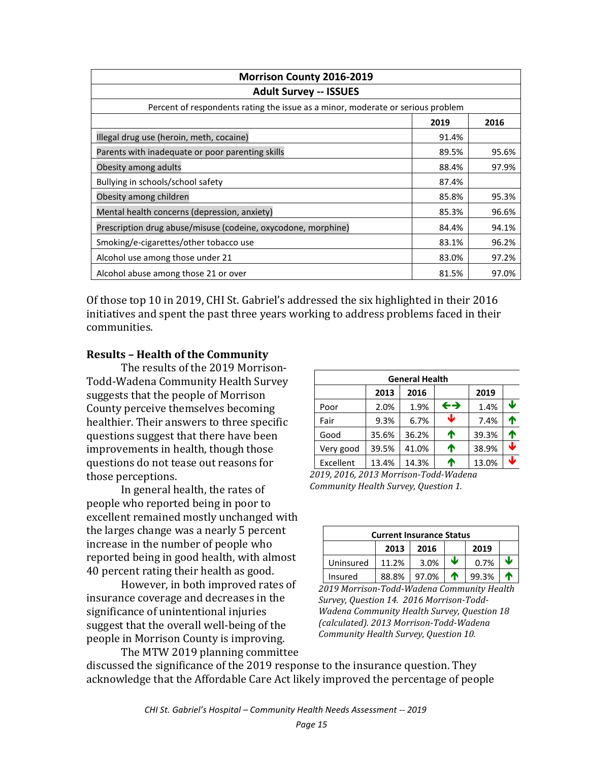| Morrison County 2016-2019                                                       |       |       |  |  |  |
|---------------------------------------------------------------------------------|-------|-------|--|--|--|
| <b>Adult Survey -- ISSUES</b>                                                   |       |       |  |  |  |
| Percent of respondents rating the issue as a minor, moderate or serious problem |       |       |  |  |  |
|                                                                                 | 2019  | 2016  |  |  |  |
| Illegal drug use (heroin, meth, cocaine)                                        | 91.4% |       |  |  |  |
| Parents with inadequate or poor parenting skills                                | 89.5% | 95.6% |  |  |  |
| Obesity among adults                                                            | 88.4% | 97.9% |  |  |  |
| Bullying in schools/school safety                                               | 87.4% |       |  |  |  |
| Obesity among children                                                          | 85.8% | 95.3% |  |  |  |
| Mental health concerns (depression, anxiety)                                    | 85.3% | 96.6% |  |  |  |
| Prescription drug abuse/misuse (codeine, oxycodone, morphine)                   | 84.4% | 94.1% |  |  |  |
| Smoking/e-cigarettes/other tobacco use                                          | 83.1% | 96.2% |  |  |  |
| Alcohol use among those under 21                                                | 83.0% | 97.2% |  |  |  |
| Alcohol abuse among those 21 or over                                            | 81.5% | 97.0% |  |  |  |

Of those top 10 in 2019, CHI St. Gabriel's addressed the six highlighted in their 2016 initiatives and spent the past three years working to address problems faced in their communities.

#### **Results – Health of the Community**

The results of the 2019 Morrison-Todd-Wadena Community Health Survey suggests that the people of Morrison County perceive themselves becoming healthier. Their answers to three specific questions suggest that there have been improvements in health, though those questions do not tease out reasons for those perceptions.

In general health, the rates of people who reported being in poor to excellent remained mostly unchanged with the larges change was a nearly 5 percent increase in the number of people who reported being in good health, with almost 40 percent rating their health as good.

However, in both improved rates of insurance coverage and decreases in the significance of unintentional injuries suggest that the overall well-being of the people in Morrison County is improving.

| <b>General Health</b> |       |       |                   |       |                 |  |  |
|-----------------------|-------|-------|-------------------|-------|-----------------|--|--|
|                       | 2013  | 2016  |                   | 2019  |                 |  |  |
| Poor                  | 2.0%  | 1.9%  | $\leftrightarrow$ | 1.4%  | J               |  |  |
| Fair                  | 9.3%  | 6.7%  | ↓                 | 7.4%  | ↑               |  |  |
| Good                  | 35.6% | 36.2% | ⋔                 | 39.3% | ↑               |  |  |
| Very good             | 39.5% | 41.0% | ↑                 | 38.9% | $\blacklozenge$ |  |  |
| Excellent             | 13.4% | 14.3% | ₼                 | 13.0% | ↓               |  |  |

*2019, 2016, 2013 Morrison-Todd-Wadena Community Health Survey, Question 1.* 

| <b>Current Insurance Status</b> |       |       |   |       |  |  |
|---------------------------------|-------|-------|---|-------|--|--|
|                                 | 2013  | 2016  |   | 2019  |  |  |
| Uninsured                       | 11.2% | 3.0%  | J | 0.7%  |  |  |
| Insured                         | 88.8% | 97.0% |   | 99.3% |  |  |

*2019 Morrison-Todd-Wadena Community Health Survey, Question 14. 2016 Morrison-Todd-Wadena Community Health Survey, Question 18 (calculated). 2013 Morrison-Todd-Wadena Community Health Survey, Question 10.*

The MTW 2019 planning committee discussed the significance of the 2019 response to the insurance question. They acknowledge that the Affordable Care Act likely improved the percentage of people

*CHI St. Gabriel's Hospital – Community Health Needs Assessment -- 2019*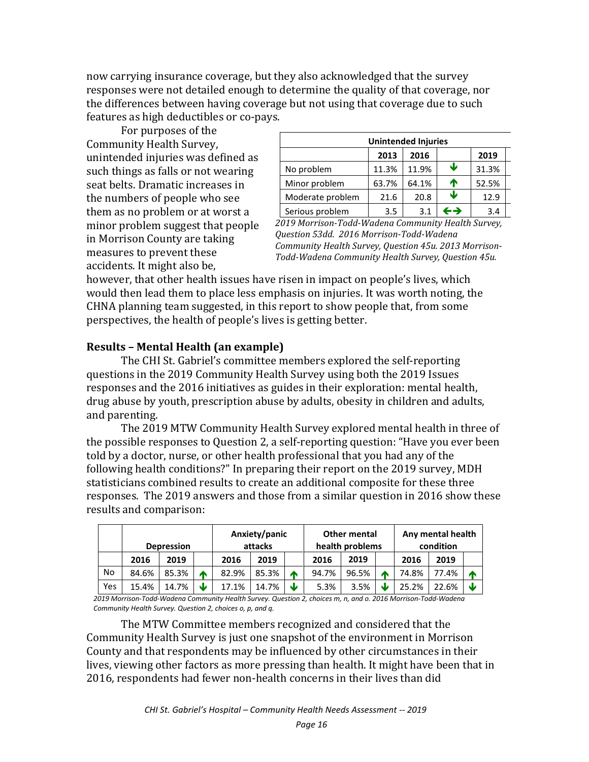now carrying insurance coverage, but they also acknowledged that the survey responses were not detailed enough to determine the quality of that coverage, nor the differences between having coverage but not using that coverage due to such features as high deductibles or co-pays.

For purposes of the Community Health Survey, unintended injuries was defined as such things as falls or not wearing seat belts. Dramatic increases in the numbers of people who see them as no problem or at worst a minor problem suggest that people in Morrison County are taking measures to prevent these accidents. It might also be,

| <b>Unintended Injuries</b> |       |       |                   |       |  |  |
|----------------------------|-------|-------|-------------------|-------|--|--|
|                            | 2013  | 2016  |                   | 2019  |  |  |
| No problem                 | 11.3% | 11.9% | ₩                 | 31.3% |  |  |
| Minor problem              | 63.7% | 64.1% | ́↑                | 52.5% |  |  |
| Moderate problem           | 21.6  | 20.8  | Ψ                 | 12.9  |  |  |
| Serious problem            | 3.5   | 3.1   | $\leftrightarrow$ | 3.4   |  |  |

*2019 Morrison-Todd-Wadena Community Health Survey, Question 53dd. 2016 Morrison-Todd-Wadena Community Health Survey, Question 45u. 2013 Morrison-Todd-Wadena Community Health Survey, Question 45u.* 

however, that other health issues have risen in impact on people's lives, which would then lead them to place less emphasis on injuries. It was worth noting, the CHNA planning team suggested, in this report to show people that, from some perspectives, the health of people's lives is getting better.

### **Results – Mental Health (an example)**

The CHI St. Gabriel's committee members explored the self-reporting questions in the 2019 Community Health Survey using both the 2019 Issues responses and the 2016 initiatives as guides in their exploration: mental health, drug abuse by youth, prescription abuse by adults, obesity in children and adults, and parenting.

The 2019 MTW Community Health Survey explored mental health in three of the possible responses to Question 2, a self-reporting question: "Have you ever been told by a doctor, nurse, or other health professional that you had any of the following health conditions?" In preparing their report on the 2019 survey, MDH statisticians combined results to create an additional composite for these three responses. The 2019 answers and those from a similar question in 2016 show these results and comparison:

|     | Anxiety/panic<br>attacks<br><b>Depression</b> |       | <b>Other mental</b><br>health problems |       |       | Any mental health<br>condition |       |       |    |       |       |   |
|-----|-----------------------------------------------|-------|----------------------------------------|-------|-------|--------------------------------|-------|-------|----|-------|-------|---|
|     | 2016                                          | 2019  |                                        | 2016  | 2019  |                                | 2016  | 2019  |    | 2016  | 2019  |   |
| No  | 84.6%                                         | 85.3% | m                                      | 82.9% | 85.3% | Ѧ                              | 94.7% | 96.5% |    | 74.8% | 77.4% | л |
| Yes | 15.4%                                         | 14.7% | J                                      | 17.1% | 14.7% | J                              | 5.3%  | 3.5%  | JZ | 25.2% | 22.6% | J |

*2019 Morrison-Todd-Wadena Community Health Survey. Question 2, choices m, n, and o. 2016 Morrison-Todd-Wadena Community Health Survey. Question 2, choices o, p, and q.*

The MTW Committee members recognized and considered that the Community Health Survey is just one snapshot of the environment in Morrison County and that respondents may be influenced by other circumstances in their lives, viewing other factors as more pressing than health. It might have been that in 2016, respondents had fewer non-health concerns in their lives than did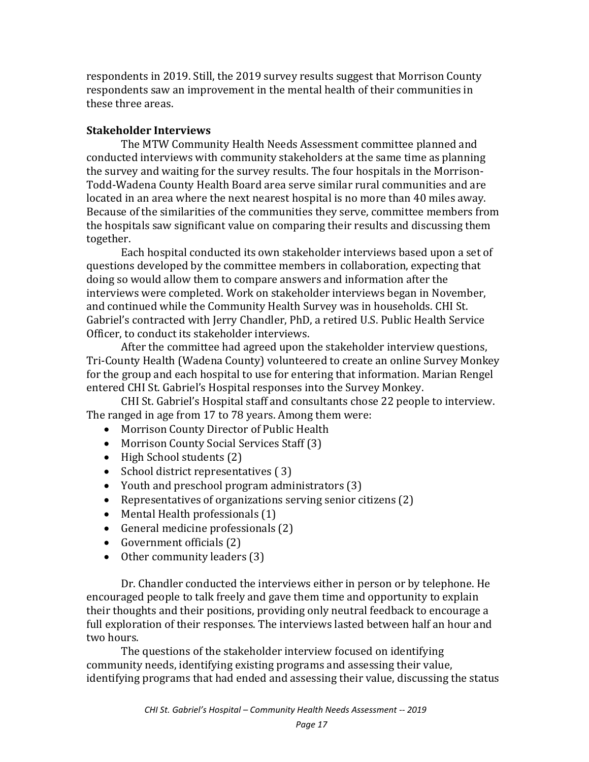respondents in 2019. Still, the 2019 survey results suggest that Morrison County respondents saw an improvement in the mental health of their communities in these three areas.

#### **Stakeholder Interviews**

The MTW Community Health Needs Assessment committee planned and conducted interviews with community stakeholders at the same time as planning the survey and waiting for the survey results. The four hospitals in the Morrison-Todd-Wadena County Health Board area serve similar rural communities and are located in an area where the next nearest hospital is no more than 40 miles away. Because of the similarities of the communities they serve, committee members from the hospitals saw significant value on comparing their results and discussing them together.

Each hospital conducted its own stakeholder interviews based upon a set of questions developed by the committee members in collaboration, expecting that doing so would allow them to compare answers and information after the interviews were completed. Work on stakeholder interviews began in November, and continued while the Community Health Survey was in households. CHI St. Gabriel's contracted with Jerry Chandler, PhD, a retired U.S. Public Health Service Officer, to conduct its stakeholder interviews.

After the committee had agreed upon the stakeholder interview questions, Tri-County Health (Wadena County) volunteered to create an online Survey Monkey for the group and each hospital to use for entering that information. Marian Rengel entered CHI St. Gabriel's Hospital responses into the Survey Monkey.

CHI St. Gabriel's Hospital staff and consultants chose 22 people to interview. The ranged in age from 17 to 78 years. Among them were:

- Morrison County Director of Public Health
- Morrison County Social Services Staff (3)
- High School students (2)
- School district representatives (3)
- Youth and preschool program administrators (3)
- Representatives of organizations serving senior citizens (2)
- Mental Health professionals (1)
- General medicine professionals (2)
- Government officials (2)
- Other community leaders (3)

Dr. Chandler conducted the interviews either in person or by telephone. He encouraged people to talk freely and gave them time and opportunity to explain their thoughts and their positions, providing only neutral feedback to encourage a full exploration of their responses. The interviews lasted between half an hour and two hours.

The questions of the stakeholder interview focused on identifying community needs, identifying existing programs and assessing their value, identifying programs that had ended and assessing their value, discussing the status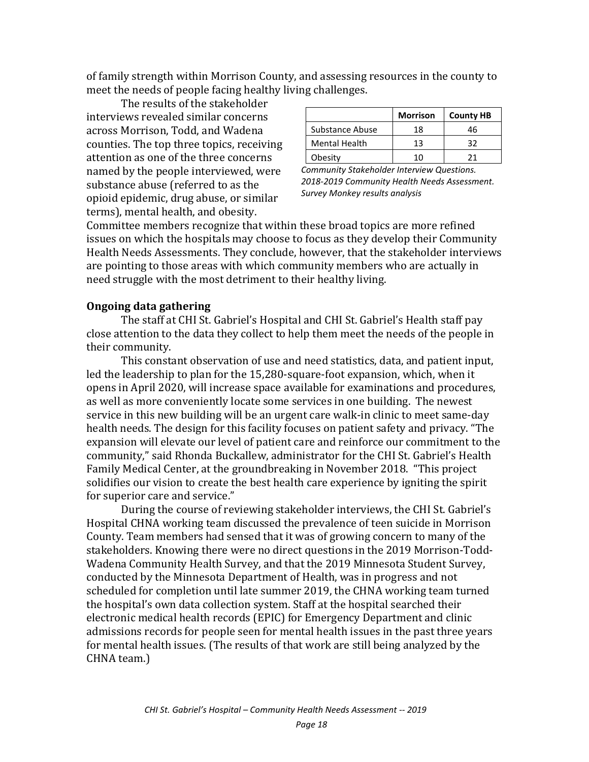of family strength within Morrison County, and assessing resources in the county to meet the needs of people facing healthy living challenges.

The results of the stakeholder interviews revealed similar concerns across Morrison, Todd, and Wadena counties. The top three topics, receiving attention as one of the three concerns named by the people interviewed, were substance abuse (referred to as the opioid epidemic, drug abuse, or similar terms), mental health, and obesity.

|                      | <b>Morrison</b> | <b>County HB</b> |
|----------------------|-----------------|------------------|
| Substance Abuse      | 18              | 46               |
| <b>Mental Health</b> | 13              | っっ               |
| Obesity              | 1 ∩             | 71               |

*Community Stakeholder Interview Questions. 2018-2019 Community Health Needs Assessment. Survey Monkey results analysis* 

Committee members recognize that within these broad topics are more refined issues on which the hospitals may choose to focus as they develop their Community Health Needs Assessments. They conclude, however, that the stakeholder interviews are pointing to those areas with which community members who are actually in need struggle with the most detriment to their healthy living.

#### **Ongoing data gathering**

The staff at CHI St. Gabriel's Hospital and CHI St. Gabriel's Health staff pay close attention to the data they collect to help them meet the needs of the people in their community.

This constant observation of use and need statistics, data, and patient input, led the leadership to plan for the 15,280-square-foot expansion, which, when it opens in April 2020, will increase space available for examinations and procedures, as well as more conveniently locate some services in one building. The newest service in this new building will be an urgent care walk-in clinic to meet same-day health needs. The design for this facility focuses on patient safety and privacy. "The expansion will elevate our level of patient care and reinforce our commitment to the community," said Rhonda Buckallew, administrator for the CHI St. Gabriel's Health Family Medical Center, at the groundbreaking in November 2018. "This project solidifies our vision to create the best health care experience by igniting the spirit for superior care and service."

During the course of reviewing stakeholder interviews, the CHI St. Gabriel's Hospital CHNA working team discussed the prevalence of teen suicide in Morrison County. Team members had sensed that it was of growing concern to many of the stakeholders. Knowing there were no direct questions in the 2019 Morrison-Todd-Wadena Community Health Survey, and that the 2019 Minnesota Student Survey, conducted by the Minnesota Department of Health, was in progress and not scheduled for completion until late summer 2019, the CHNA working team turned the hospital's own data collection system. Staff at the hospital searched their electronic medical health records (EPIC) for Emergency Department and clinic admissions records for people seen for mental health issues in the past three years for mental health issues. (The results of that work are still being analyzed by the CHNA team.)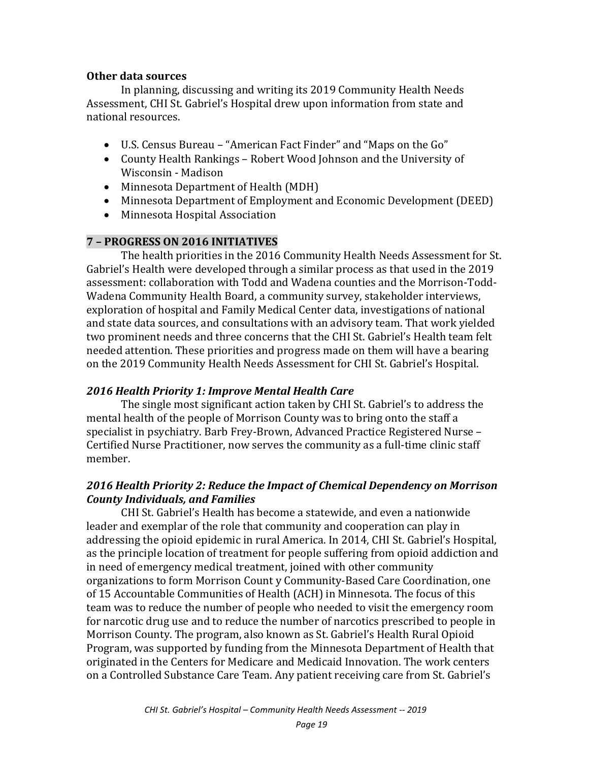#### **Other data sources**

In planning, discussing and writing its 2019 Community Health Needs Assessment, CHI St. Gabriel's Hospital drew upon information from state and national resources.

- U.S. Census Bureau "American Fact Finder" and "Maps on the Go"
- County Health Rankings Robert Wood Johnson and the University of Wisconsin - Madison
- Minnesota Department of Health (MDH)
- Minnesota Department of Employment and Economic Development (DEED)
- Minnesota Hospital Association

#### **7 – PROGRESS ON 2016 INITIATIVES**

The health priorities in the 2016 Community Health Needs Assessment for St. Gabriel's Health were developed through a similar process as that used in the 2019 assessment: collaboration with Todd and Wadena counties and the Morrison-Todd-Wadena Community Health Board, a community survey, stakeholder interviews, exploration of hospital and Family Medical Center data, investigations of national and state data sources, and consultations with an advisory team. That work yielded two prominent needs and three concerns that the CHI St. Gabriel's Health team felt needed attention. These priorities and progress made on them will have a bearing on the 2019 Community Health Needs Assessment for CHI St. Gabriel's Hospital.

#### *2016 Health Priority 1: Improve Mental Health Care*

The single most significant action taken by CHI St. Gabriel's to address the mental health of the people of Morrison County was to bring onto the staff a specialist in psychiatry. Barb Frey-Brown, Advanced Practice Registered Nurse – Certified Nurse Practitioner, now serves the community as a full-time clinic staff member.

### *2016 Health Priority 2: Reduce the Impact of Chemical Dependency on Morrison County Individuals, and Families*

CHI St. Gabriel's Health has become a statewide, and even a nationwide leader and exemplar of the role that community and cooperation can play in addressing the opioid epidemic in rural America. In 2014, CHI St. Gabriel's Hospital, as the principle location of treatment for people suffering from opioid addiction and in need of emergency medical treatment, joined with other community organizations to form Morrison Count y Community-Based Care Coordination, one of 15 Accountable Communities of Health (ACH) in Minnesota. The focus of this team was to reduce the number of people who needed to visit the emergency room for narcotic drug use and to reduce the number of narcotics prescribed to people in Morrison County. The program, also known as St. Gabriel's Health Rural Opioid Program, was supported by funding from the Minnesota Department of Health that originated in the Centers for Medicare and Medicaid Innovation. The work centers on a Controlled Substance Care Team. Any patient receiving care from St. Gabriel's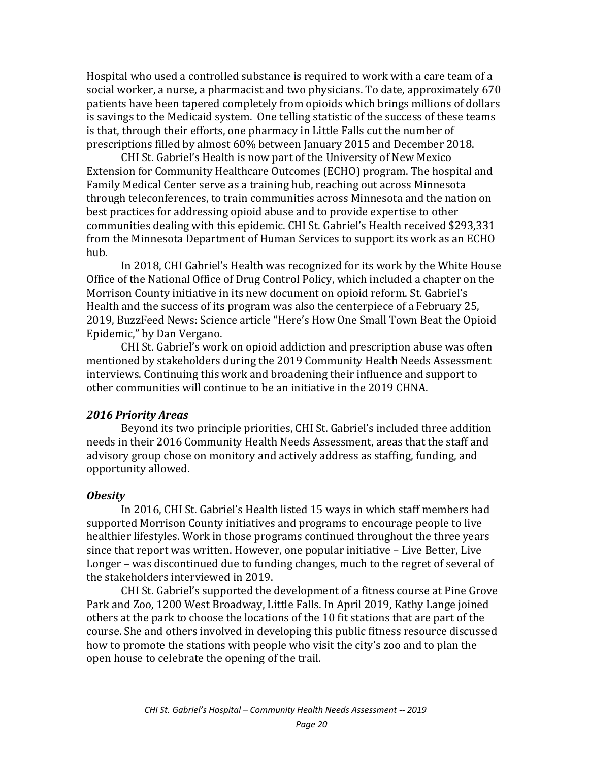Hospital who used a controlled substance is required to work with a care team of a social worker, a nurse, a pharmacist and two physicians. To date, approximately 670 patients have been tapered completely from opioids which brings millions of dollars is savings to the Medicaid system. One telling statistic of the success of these teams is that, through their efforts, one pharmacy in Little Falls cut the number of prescriptions filled by almost 60% between January 2015 and December 2018.

CHI St. Gabriel's Health is now part of the University of New Mexico Extension for Community Healthcare Outcomes (ECHO) program. The hospital and Family Medical Center serve as a training hub, reaching out across Minnesota through teleconferences, to train communities across Minnesota and the nation on best practices for addressing opioid abuse and to provide expertise to other communities dealing with this epidemic. CHI St. Gabriel's Health received \$293,331 from the Minnesota Department of Human Services to support its work as an ECHO hub.

In 2018, CHI Gabriel's Health was recognized for its work by the White House Office of the National Office of Drug Control Policy, which included a chapter on the Morrison County initiative in its new document on opioid reform. St. Gabriel's Health and the success of its program was also the centerpiece of a February 25, 2019, BuzzFeed News: Science article "Here's How One Small Town Beat the Opioid Epidemic," by Dan Vergano.

CHI St. Gabriel's work on opioid addiction and prescription abuse was often mentioned by stakeholders during the 2019 Community Health Needs Assessment interviews. Continuing this work and broadening their influence and support to other communities will continue to be an initiative in the 2019 CHNA.

#### *2016 Priority Areas*

Beyond its two principle priorities, CHI St. Gabriel's included three addition needs in their 2016 Community Health Needs Assessment, areas that the staff and advisory group chose on monitory and actively address as staffing, funding, and opportunity allowed.

#### *Obesity*

In 2016, CHI St. Gabriel's Health listed 15 ways in which staff members had supported Morrison County initiatives and programs to encourage people to live healthier lifestyles. Work in those programs continued throughout the three years since that report was written. However, one popular initiative – Live Better, Live Longer – was discontinued due to funding changes, much to the regret of several of the stakeholders interviewed in 2019.

CHI St. Gabriel's supported the development of a fitness course at Pine Grove Park and Zoo, 1200 West Broadway, Little Falls. In April 2019, Kathy Lange joined others at the park to choose the locations of the 10 fit stations that are part of the course. She and others involved in developing this public fitness resource discussed how to promote the stations with people who visit the city's zoo and to plan the open house to celebrate the opening of the trail.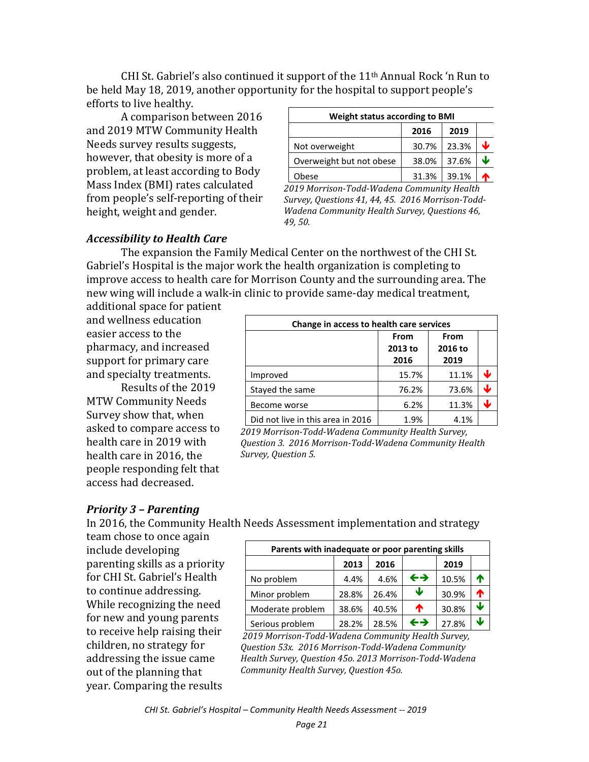CHI St. Gabriel's also continued it support of the  $11<sup>th</sup>$  Annual Rock 'n Run to be held May 18, 2019, another opportunity for the hospital to support people's efforts to live healthy.

A comparison between 2016 and 2019 MTW Community Health Needs survey results suggests, however, that obesity is more of a problem, at least according to Body Mass Index (BMI) rates calculated from people's self-reporting of their height, weight and gender.

| <b>Weight status according to BMI</b> |       |       |   |  |  |  |
|---------------------------------------|-------|-------|---|--|--|--|
|                                       | 2016  | 2019  |   |  |  |  |
| Not overweight                        | 30.7% | 23.3% | ↓ |  |  |  |
| Overweight but not obese              | 38.0% | 37.6% | ₩ |  |  |  |
| <b>Obese</b>                          | 31.3% | 39.1% |   |  |  |  |

*2019 Morrison-Todd-Wadena Community Health Survey, Questions 41, 44, 45. 2016 Morrison-Todd-Wadena Community Health Survey, Questions 46, 49, 50.*

#### *Accessibility to Health Care*

The expansion the Family Medical Center on the northwest of the CHI St. Gabriel's Hospital is the major work the health organization is completing to improve access to health care for Morrison County and the surrounding area. The new wing will include a walk-in clinic to provide same-day medical treatment,

additional space for patient and wellness education easier access to the pharmacy, and increased support for primary care and specialty treatments.

Results of the 2019 MTW Community Needs Survey show that, when asked to compare access to health care in 2019 with health care in 2016, the people responding felt that access had decreased.

#### **Change in access to health care services From 2013 to 2016 From 2016 to 2019** Improved 15.7% 11.1%  $\sqrt{ }$ Stayed the same **76.2%** 73.6% Become worse  $\begin{array}{ccc} \vert & 6.2\% \end{array}$  11.3%  $\begin{array}{c} \downarrow \\ \end{array}$ Did not live in this area in 2016  $\vert$  1.9% 4.1%

*2019 Morrison-Todd-Wadena Community Health Survey, Question 3. 2016 Morrison-Todd-Wadena Community Health Survey, Question 5.*

### *Priority 3 – Parenting*

In 2016, the Community Health Needs Assessment implementation and strategy

team chose to once again include developing parenting skills as a priority for CHI St. Gabriel's Health to continue addressing. While recognizing the need for new and young parents to receive help raising their children, no strategy for addressing the issue came out of the planning that year. Comparing the results

| Parents with inadequate or poor parenting skills |       |       |                   |       |   |  |  |  |
|--------------------------------------------------|-------|-------|-------------------|-------|---|--|--|--|
|                                                  | 2013  | 2016  |                   | 2019  |   |  |  |  |
| No problem                                       | 4.4%  | 4.6%  | $\leftrightarrow$ | 10.5% | ↑ |  |  |  |
| Minor problem                                    | 28.8% | 26.4% | Ψ                 | 30.9% | ሳ |  |  |  |
| Moderate problem                                 | 38.6% | 40.5% | ♠                 | 30.8% | Ψ |  |  |  |
| Serious problem                                  | 28.2% | 28.5% | ←→                | 27.8% | ↓ |  |  |  |

*2019 Morrison-Todd-Wadena Community Health Survey, Question 53x. 2016 Morrison-Todd-Wadena Community Health Survey, Question 45o. 2013 Morrison-Todd-Wadena Community Health Survey, Question 45o.*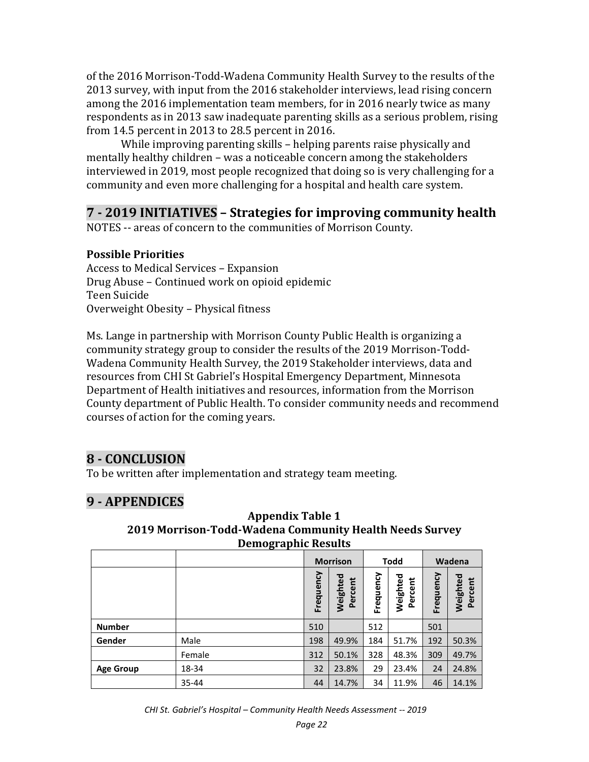of the 2016 Morrison-Todd-Wadena Community Health Survey to the results of the 2013 survey, with input from the 2016 stakeholder interviews, lead rising concern among the 2016 implementation team members, for in 2016 nearly twice as many respondents as in 2013 saw inadequate parenting skills as a serious problem, rising from 14.5 percent in 2013 to 28.5 percent in 2016.

While improving parenting skills – helping parents raise physically and mentally healthy children – was a noticeable concern among the stakeholders interviewed in 2019, most people recognized that doing so is very challenging for a community and even more challenging for a hospital and health care system.

# **7 - 2019 INITIATIVES – Strategies for improving community health**

NOTES -- areas of concern to the communities of Morrison County.

### **Possible Priorities**

Access to Medical Services – Expansion Drug Abuse – Continued work on opioid epidemic Teen Suicide Overweight Obesity – Physical fitness

Ms. Lange in partnership with Morrison County Public Health is organizing a community strategy group to consider the results of the 2019 Morrison-Todd-Wadena Community Health Survey, the 2019 Stakeholder interviews, data and resources from CHI St Gabriel's Hospital Emergency Department, Minnesota Department of Health initiatives and resources, information from the Morrison County department of Public Health. To consider community needs and recommend courses of action for the coming years.

# **8 - CONCLUSION**

To be written after implementation and strategy team meeting.

# **9 - APPENDICES**

| Demograpme nesures |        |                 |                     |             |                     |           |                     |
|--------------------|--------|-----------------|---------------------|-------------|---------------------|-----------|---------------------|
|                    |        | <b>Morrison</b> |                     | <b>Todd</b> |                     | Wadena    |                     |
|                    |        | Frequency       | Weighted<br>Percent | Frequency   | Weighted<br>Percent | Frequency | Weighted<br>Percent |
| <b>Number</b>      |        | 510             |                     | 512         |                     | 501       |                     |
| Gender             | Male   | 198             | 49.9%               | 184         | 51.7%               | 192       | 50.3%               |
|                    | Female | 312             | 50.1%               | 328         | 48.3%               | 309       | 49.7%               |
| <b>Age Group</b>   | 18-34  | 32              | 23.8%               | 29          | 23.4%               | 24        | 24.8%               |
|                    | 35-44  | 44              | 14.7%               | 34          | 11.9%               | 46        | 14.1%               |

### **Appendix Table 1 2019 Morrison-Todd-Wadena Community Health Needs Survey Demographic Results**